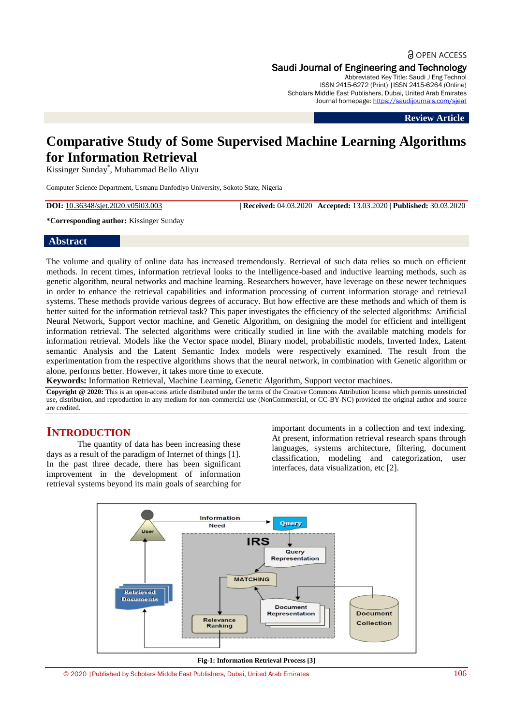**a** OPEN ACCESS Saudi Journal of Engineering and Technology

Abbreviated Key Title: Saudi J Eng Technol ISSN 2415-6272 (Print) |ISSN 2415-6264 (Online) Scholars Middle East Publishers, Dubai, United Arab Emirates Journal homepage: <https://saudijournals.com/sjeat>

**Review Article**

# **Comparative Study of Some Supervised Machine Learning Algorithms for Information Retrieval**

Kissinger Sunday\* , Muhammad Bello Aliyu

Computer Science Department, Usmanu Danfodiyo University, Sokoto State, Nigeria

**DOI:** 10.36348/sjet.2020.v05i03.003 | **Received:** 04.03.2020 | **Accepted:** 13.03.2020 | **Published:** 30.03.2020

### **\*Corresponding author:** Kissinger Sunday

### **Abstract**

The volume and quality of online data has increased tremendously. Retrieval of such data relies so much on efficient methods. In recent times, information retrieval looks to the intelligence-based and inductive learning methods, such as genetic algorithm, neural networks and machine learning. Researchers however, have leverage on these newer techniques in order to enhance the retrieval capabilities and information processing of current information storage and retrieval systems. These methods provide various degrees of accuracy. But how effective are these methods and which of them is better suited for the information retrieval task? This paper investigates the efficiency of the selected algorithms: Artificial Neural Network, Support vector machine, and Genetic Algorithm, on designing the model for efficient and intelligent information retrieval. The selected algorithms were critically studied in line with the available matching models for information retrieval. Models like the Vector space model, Binary model, probabilistic models, Inverted Index, Latent semantic Analysis and the Latent Semantic Index models were respectively examined. The result from the experimentation from the respective algorithms shows that the neural network, in combination with Genetic algorithm or alone, performs better. However, it takes more time to execute.

**Keywords:** Information Retrieval, Machine Learning, Genetic Algorithm, Support vector machines.

**Copyright @ 2020:** This is an open-access article distributed under the terms of the Creative Commons Attribution license which permits unrestricted use, distribution, and reproduction in any medium for non-commercial use (NonCommercial, or CC-BY-NC) provided the original author and source are credited.

# **INTRODUCTION**

The quantity of data has been increasing these days as a result of the paradigm of Internet of things [1]. In the past three decade, there has been significant improvement in the development of information retrieval systems beyond its main goals of searching for

important documents in a collection and text indexing. At present, information retrieval research spans through languages, systems architecture, filtering, document classification, modeling and categorization, user interfaces, data visualization, etc [2].



**Fig-1: Information Retrieval Process [3]**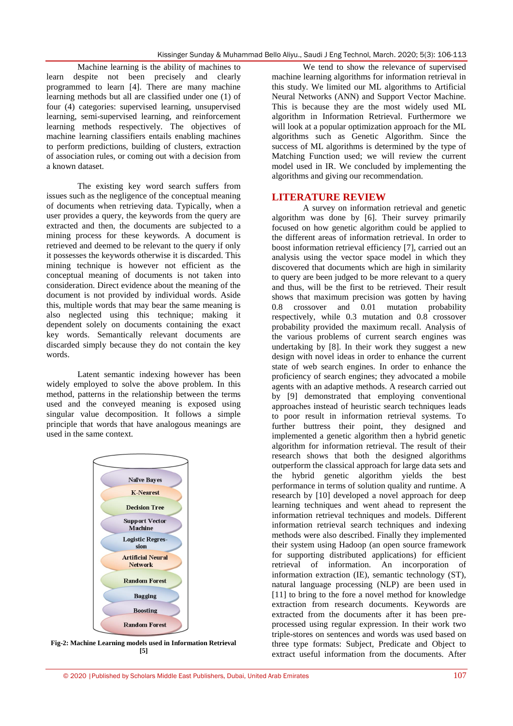Machine learning is the ability of machines to learn despite not been precisely and clearly programmed to learn [4]. There are many machine learning methods but all are classified under one (1) of four (4) categories: supervised learning, unsupervised learning, semi-supervised learning, and reinforcement learning methods respectively. The objectives of machine learning classifiers entails enabling machines to perform predictions, building of clusters, extraction of association rules, or coming out with a decision from a known dataset.

The existing key word search suffers from issues such as the negligence of the conceptual meaning of documents when retrieving data. Typically, when a user provides a query, the keywords from the query are extracted and then, the documents are subjected to a mining process for these keywords. A document is retrieved and deemed to be relevant to the query if only it possesses the keywords otherwise it is discarded. This mining technique is however not efficient as the conceptual meaning of documents is not taken into consideration. Direct evidence about the meaning of the document is not provided by individual words. Aside this, multiple words that may bear the same meaning is also neglected using this technique; making it dependent solely on documents containing the exact key words. Semantically relevant documents are discarded simply because they do not contain the key words.

Latent semantic indexing however has been widely employed to solve the above problem. In this method, patterns in the relationship between the terms used and the conveyed meaning is exposed using singular value decomposition. It follows a simple principle that words that have analogous meanings are used in the same context.



**Fig-2: Machine Learning models used in Information Retrieval [5]**

We tend to show the relevance of supervised machine learning algorithms for information retrieval in this study. We limited our ML algorithms to Artificial Neural Networks (ANN) and Support Vector Machine. This is because they are the most widely used ML algorithm in Information Retrieval. Furthermore we will look at a popular optimization approach for the ML algorithms such as Genetic Algorithm. Since the success of ML algorithms is determined by the type of Matching Function used; we will review the current model used in IR. We concluded by implementing the algorithms and giving our recommendation.

## **LITERATURE REVIEW**

A survey on information retrieval and genetic algorithm was done by [6]. Their survey primarily focused on how genetic algorithm could be applied to the different areas of information retrieval. In order to boost information retrieval efficiency [7], carried out an analysis using the vector space model in which they discovered that documents which are high in similarity to query are been judged to be more relevant to a query and thus, will be the first to be retrieved. Their result shows that maximum precision was gotten by having 0.8 crossover and 0.01 mutation probability respectively, while 0.3 mutation and 0.8 crossover probability provided the maximum recall. Analysis of the various problems of current search engines was undertaking by [8]. In their work they suggest a new design with novel ideas in order to enhance the current state of web search engines. In order to enhance the proficiency of search engines; they advocated a mobile agents with an adaptive methods. A research carried out by [9] demonstrated that employing conventional approaches instead of heuristic search techniques leads to poor result in information retrieval systems. To further buttress their point, they designed and implemented a genetic algorithm then a hybrid genetic algorithm for information retrieval. The result of their research shows that both the designed algorithms outperform the classical approach for large data sets and the hybrid genetic algorithm yields the best performance in terms of solution quality and runtime. A research by [10] developed a novel approach for deep learning techniques and went ahead to represent the information retrieval techniques and models. Different information retrieval search techniques and indexing methods were also described. Finally they implemented their system using Hadoop (an open source framework for supporting distributed applications) for efficient retrieval of information. An incorporation of information extraction (IE), semantic technology (ST), natural language processing (NLP) are been used in [11] to bring to the fore a novel method for knowledge extraction from research documents. Keywords are extracted from the documents after it has been preprocessed using regular expression. In their work two triple-stores on sentences and words was used based on three type formats: Subject, Predicate and Object to extract useful information from the documents. After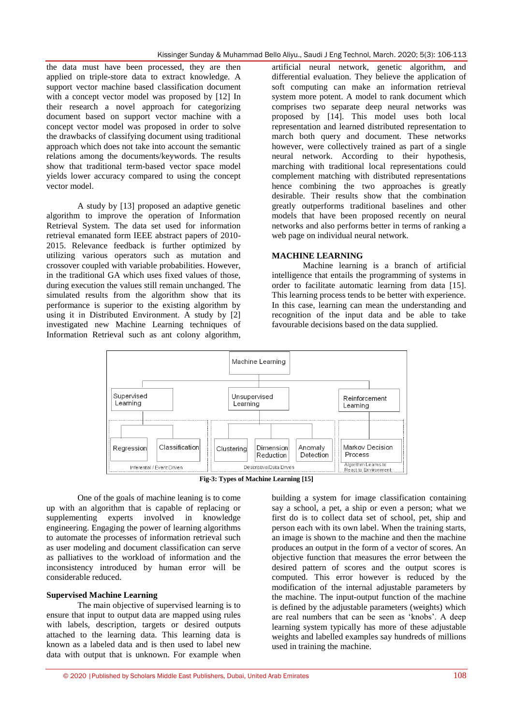the data must have been processed, they are then applied on triple-store data to extract knowledge. A support vector machine based classification document with a concept vector model was proposed by [12] In their research a novel approach for categorizing document based on support vector machine with a concept vector model was proposed in order to solve the drawbacks of classifying document using traditional approach which does not take into account the semantic relations among the documents/keywords. The results show that traditional term-based vector space model yields lower accuracy compared to using the concept vector model.

A study by [13] proposed an adaptive genetic algorithm to improve the operation of Information Retrieval System. The data set used for information retrieval emanated form IEEE abstract papers of 2010- 2015. Relevance feedback is further optimized by utilizing various operators such as mutation and crossover coupled with variable probabilities. However, in the traditional GA which uses fixed values of those, during execution the values still remain unchanged. The simulated results from the algorithm show that its performance is superior to the existing algorithm by using it in Distributed Environment. A study by [2] investigated new Machine Learning techniques of Information Retrieval such as ant colony algorithm,

artificial neural network, genetic algorithm, and differential evaluation. They believe the application of soft computing can make an information retrieval system more potent. A model to rank document which comprises two separate deep neural networks was proposed by [14]. This model uses both local representation and learned distributed representation to march both query and document. These networks however, were collectively trained as part of a single neural network. According to their hypothesis, marching with traditional local representations could complement matching with distributed representations hence combining the two approaches is greatly desirable. Their results show that the combination greatly outperforms traditional baselines and other models that have been proposed recently on neural networks and also performs better in terms of ranking a web page on individual neural network.

### **MACHINE LEARNING**

Machine learning is a branch of artificial intelligence that entails the programming of systems in order to facilitate automatic learning from data [15]. This learning process tends to be better with experience. In this case, learning can mean the understanding and recognition of the input data and be able to take favourable decisions based on the data supplied.



**Fig-3: Types of Machine Learning [15]**

One of the goals of machine leaning is to come up with an algorithm that is capable of replacing or supplementing experts involved in knowledge engineering. Engaging the power of learning algorithms to automate the processes of information retrieval such as user modeling and document classification can serve as palliatives to the workload of information and the inconsistency introduced by human error will be considerable reduced.

### **Supervised Machine Learning**

The main objective of supervised learning is to ensure that input to output data are mapped using rules with labels, description, targets or desired outputs attached to the learning data. This learning data is known as a labeled data and is then used to label new data with output that is unknown. For example when building a system for image classification containing say a school, a pet, a ship or even a person; what we first do is to collect data set of school, pet, ship and person each with its own label. When the training starts, an image is shown to the machine and then the machine produces an output in the form of a vector of scores. An objective function that measures the error between the desired pattern of scores and the output scores is computed. This error however is reduced by the modification of the internal adjustable parameters by the machine. The input-output function of the machine is defined by the adjustable parameters (weights) which are real numbers that can be seen as "knobs". A deep learning system typically has more of these adjustable weights and labelled examples say hundreds of millions used in training the machine.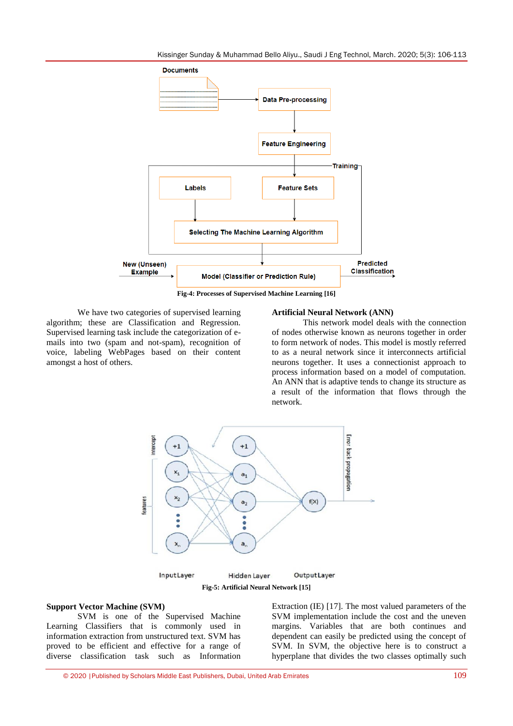

**Fig-4: Processes of Supervised Machine Learning [16]**

We have two categories of supervised learning algorithm; these are Classification and Regression. Supervised learning task include the categorization of emails into two (spam and not-spam), recognition of voice, labeling WebPages based on their content amongst a host of others.

#### **Artificial Neural Network (ANN)**

This network model deals with the connection of nodes otherwise known as neurons together in order to form network of nodes. This model is mostly referred to as a neural network since it interconnects artificial neurons together. It uses a connectionist approach to process information based on a model of computation. An ANN that is adaptive tends to change its structure as a result of the information that flows through the network.



#### **Support Vector Machine (SVM)**

SVM is one of the Supervised Machine Learning Classifiers that is commonly used in information extraction from unstructured text. SVM has proved to be efficient and effective for a range of diverse classification task such as Information Extraction (IE) [17]. The most valued parameters of the SVM implementation include the cost and the uneven margins. Variables that are both continues and dependent can easily be predicted using the concept of SVM. In SVM, the objective here is to construct a hyperplane that divides the two classes optimally such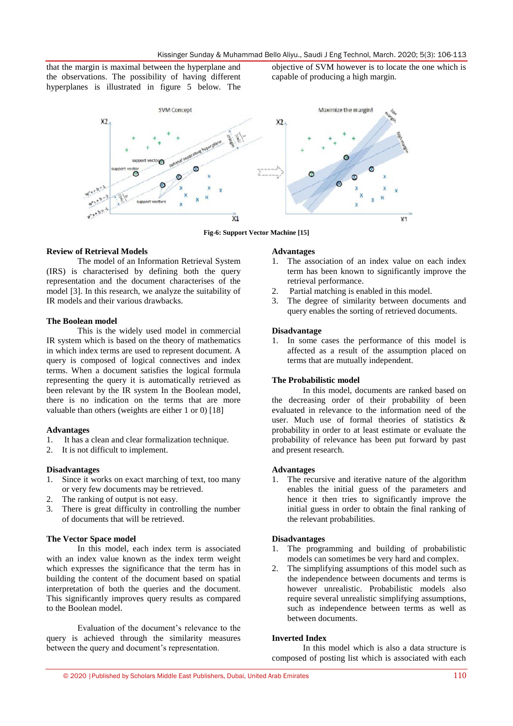that the margin is maximal between the hyperplane and the observations. The possibility of having different hyperplanes is illustrated in figure 5 below. The

objective of SVM however is to locate the one which is capable of producing a high margin.



**Fig-6: Support Vector Machine [15]**

### **Review of Retrieval Models**

The model of an Information Retrieval System (IRS) is characterised by defining both the query representation and the document characterises of the model [3]. In this research, we analyze the suitability of IR models and their various drawbacks.

### **The Boolean model**

This is the widely used model in commercial IR system which is based on the theory of mathematics in which index terms are used to represent document. A query is composed of logical connectives and index terms. When a document satisfies the logical formula representing the query it is automatically retrieved as been relevant by the IR system In the Boolean model, there is no indication on the terms that are more valuable than others (weights are either 1 or 0) [18]

#### **Advantages**

- 1. It has a clean and clear formalization technique.
- 2. It is not difficult to implement.

### **Disadvantages**

- 1. Since it works on exact marching of text, too many or very few documents may be retrieved.
- 2. The ranking of output is not easy.
- 3. There is great difficulty in controlling the number of documents that will be retrieved.

#### **The Vector Space model**

In this model, each index term is associated with an index value known as the index term weight which expresses the significance that the term has in building the content of the document based on spatial interpretation of both the queries and the document. This significantly improves query results as compared to the Boolean model.

Evaluation of the document's relevance to the query is achieved through the similarity measures between the query and document's representation.

#### **Advantages**

- 1. The association of an index value on each index term has been known to significantly improve the retrieval performance.
- 2. Partial matching is enabled in this model.
- 3. The degree of similarity between documents and query enables the sorting of retrieved documents.

#### **Disadvantage**

1. In some cases the performance of this model is affected as a result of the assumption placed on terms that are mutually independent.

### **The Probabilistic model**

In this model, documents are ranked based on the decreasing order of their probability of been evaluated in relevance to the information need of the user. Much use of formal theories of statistics & probability in order to at least estimate or evaluate the probability of relevance has been put forward by past and present research.

### **Advantages**

1. The recursive and iterative nature of the algorithm enables the initial guess of the parameters and hence it then tries to significantly improve the initial guess in order to obtain the final ranking of the relevant probabilities.

#### **Disadvantages**

- 1. The programming and building of probabilistic models can sometimes be very hard and complex.
- 2. The simplifying assumptions of this model such as the independence between documents and terms is however unrealistic. Probabilistic models also require several unrealistic simplifying assumptions, such as independence between terms as well as between documents.

### **Inverted Index**

In this model which is also a data structure is composed of posting list which is associated with each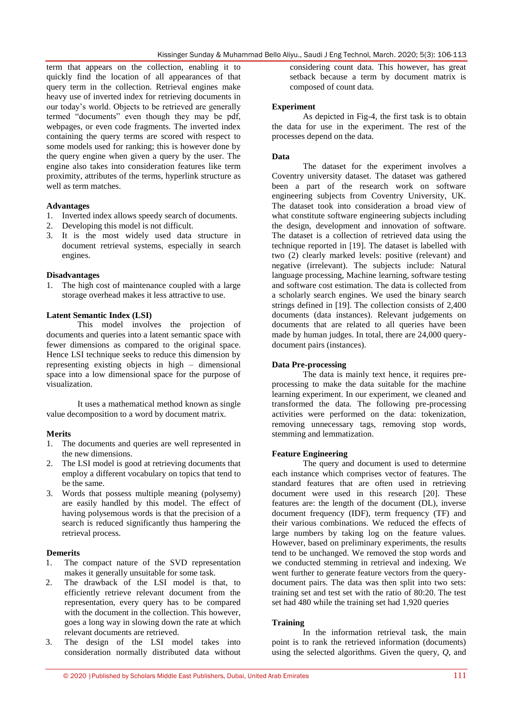term that appears on the collection, enabling it to quickly find the location of all appearances of that query term in the collection. Retrieval engines make heavy use of inverted index for retrieving documents in our today"s world. Objects to be retrieved are generally termed "documents" even though they may be pdf, webpages, or even code fragments. The inverted index containing the query terms are scored with respect to some models used for ranking; this is however done by the query engine when given a query by the user. The engine also takes into consideration features like term proximity, attributes of the terms, hyperlink structure as well as term matches.

### **Advantages**

- 1. Inverted index allows speedy search of documents.
- 2. Developing this model is not difficult.
- 3. It is the most widely used data structure in document retrieval systems, especially in search engines.

#### **Disadvantages**

1. The high cost of maintenance coupled with a large storage overhead makes it less attractive to use.

### **Latent Semantic Index (LSI)**

This model involves the projection of documents and queries into a latent semantic space with fewer dimensions as compared to the original space. Hence LSI technique seeks to reduce this dimension by representing existing objects in high – dimensional space into a low dimensional space for the purpose of visualization.

It uses a mathematical method known as single value decomposition to a word by document matrix.

### **Merits**

- 1. The documents and queries are well represented in the new dimensions.
- 2. The LSI model is good at retrieving documents that employ a different vocabulary on topics that tend to be the same.
- 3. Words that possess multiple meaning (polysemy) are easily handled by this model. The effect of having polysemous words is that the precision of a search is reduced significantly thus hampering the retrieval process.

### **Demerits**

- 1. The compact nature of the SVD representation makes it generally unsuitable for some task.
- 2. The drawback of the LSI model is that, to efficiently retrieve relevant document from the representation, every query has to be compared with the document in the collection. This however, goes a long way in slowing down the rate at which relevant documents are retrieved.
- 3. The design of the LSI model takes into consideration normally distributed data without

considering count data. This however, has great setback because a term by document matrix is composed of count data.

### **Experiment**

As depicted in Fig-4, the first task is to obtain the data for use in the experiment. The rest of the processes depend on the data.

### **Data**

The dataset for the experiment involves a Coventry university dataset. The dataset was gathered been a part of the research work on software engineering subjects from Coventry University, UK. The dataset took into consideration a broad view of what constitute software engineering subjects including the design, development and innovation of software. The dataset is a collection of retrieved data using the technique reported in [19]. The dataset is labelled with two (2) clearly marked levels: positive (relevant) and negative (irrelevant). The subjects include: Natural language processing, Machine learning, software testing and software cost estimation. The data is collected from a scholarly search engines. We used the binary search strings defined in [19]. The collection consists of 2,400 documents (data instances). Relevant judgements on documents that are related to all queries have been made by human judges. In total, there are 24,000 querydocument pairs (instances).

### **Data Pre-processing**

The data is mainly text hence, it requires preprocessing to make the data suitable for the machine learning experiment. In our experiment, we cleaned and transformed the data. The following pre-processing activities were performed on the data: tokenization, removing unnecessary tags, removing stop words, stemming and lemmatization.

### **Feature Engineering**

The query and document is used to determine each instance which comprises vector of features. The standard features that are often used in retrieving document were used in this research [20]. These features are: the length of the document (DL), inverse document frequency (IDF), term frequency (TF) and their various combinations. We reduced the effects of large numbers by taking log on the feature values. However, based on preliminary experiments, the results tend to be unchanged. We removed the stop words and we conducted stemming in retrieval and indexing. We went further to generate feature vectors from the querydocument pairs. The data was then split into two sets: training set and test set with the ratio of 80:20. The test set had 480 while the training set had 1,920 queries

### **Training**

In the information retrieval task, the main point is to rank the retrieved information (documents) using the selected algorithms. Given the query, *Q,* and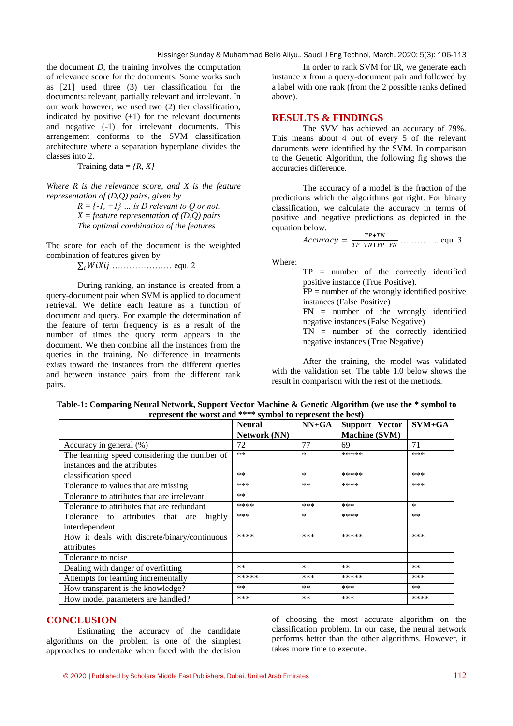the document *D,* the training involves the computation of relevance score for the documents. Some works such as [21] used three (3) tier classification for the documents: relevant, partially relevant and irrelevant. In our work however, we used two (2) tier classification, indicated by positive  $(+1)$  for the relevant documents and negative (-1) for irrelevant documents. This arrangement conforms to the SVM classification architecture where a separation hyperplane divides the classes into 2.

Training data = *{R, X}*

*Where R is the relevance score, and X is the feature representation of (D,Q) pairs, given by*

> $R = \{-1, +1\}$  ... is D relevant to O or not. *X = feature representation of (D,Q) pairs The optimal combination of the features*

The score for each of the document is the weighted combination of features given by

 $\sum_i W i X i j$  ………………… equ. 2

During ranking, an instance is created from a query-document pair when SVM is applied to document retrieval. We define each feature as a function of document and query. For example the determination of the feature of term frequency is as a result of the number of times the query term appears in the document. We then combine all the instances from the queries in the training. No difference in treatments exists toward the instances from the different queries and between instance pairs from the different rank pairs.

In order to rank SVM for IR, we generate each instance x from a query-document pair and followed by a label with one rank (from the 2 possible ranks defined above).

### **RESULTS & FINDINGS**

The SVM has achieved an accuracy of 79%. This means about 4 out of every 5 of the relevant documents were identified by the SVM. In comparison to the Genetic Algorithm, the following fig shows the accuracies difference.

The accuracy of a model is the fraction of the predictions which the algorithms got right. For binary classification, we calculate the accuracy in terms of positive and negative predictions as depicted in the equation below.

 ………….. equ. 3.

Where:

TP = number of the correctly identified positive instance (True Positive).  $FP =$  number of the wrongly identified positive instances (False Positive) FN = number of the wrongly identified negative instances (False Negative) TN = number of the correctly identified negative instances (True Negative)

After the training, the model was validated with the validation set. The table 1.0 below shows the result in comparison with the rest of the methods.

| represent the worst and symbol to represent the best. |                                      |         |                                        |          |
|-------------------------------------------------------|--------------------------------------|---------|----------------------------------------|----------|
|                                                       | <b>Neural</b><br><b>Network</b> (NN) | $NN+GA$ | Support Vector<br><b>Machine (SVM)</b> | $SVM+GA$ |
| Accuracy in general (%)                               | 72                                   | 77      | 69                                     | 71       |
| The learning speed considering the number of          | $**$                                 | $\ast$  | *****                                  | ***      |
| instances and the attributes                          |                                      |         |                                        |          |
| classification speed                                  | $**$                                 | $\ast$  | *****                                  | ***      |
| Tolerance to values that are missing                  | ***                                  | **      | ****                                   | ***      |
| Tolerance to attributes that are irrelevant.          | **                                   |         |                                        |          |
| Tolerance to attributes that are redundant            | ****                                 | ***     | ***                                    | *        |
| Tolerance to attributes that are<br>highly            | ***                                  | *       | ****                                   | $***$    |
| interdependent.                                       |                                      |         |                                        |          |
| How it deals with discrete/binary/continuous          | ****                                 | ***     | *****                                  | ***      |
| attributes                                            |                                      |         |                                        |          |
| Tolerance to noise                                    |                                      |         |                                        |          |
| Dealing with danger of overfitting                    | **                                   | $\ast$  | $***$                                  | $***$    |
| Attempts for learning incrementally                   | *****                                | ***     | *****                                  | ***      |
| How transparent is the knowledge?                     | **                                   | $***$   | ***                                    | $***$    |
| How model parameters are handled?                     | ***                                  | $***$   | ***                                    | ****     |
|                                                       |                                      |         |                                        |          |

**Table-1: Comparing Neural Network, Support Vector Machine & Genetic Algorithm (we use the \* symbol to represent the worst and \*\*\*\* symbol to represent the best)**

### **CONCLUSION**

Estimating the accuracy of the candidate algorithms on the problem is one of the simplest approaches to undertake when faced with the decision of choosing the most accurate algorithm on the classification problem. In our case, the neural network performs better than the other algorithms. However, it takes more time to execute.